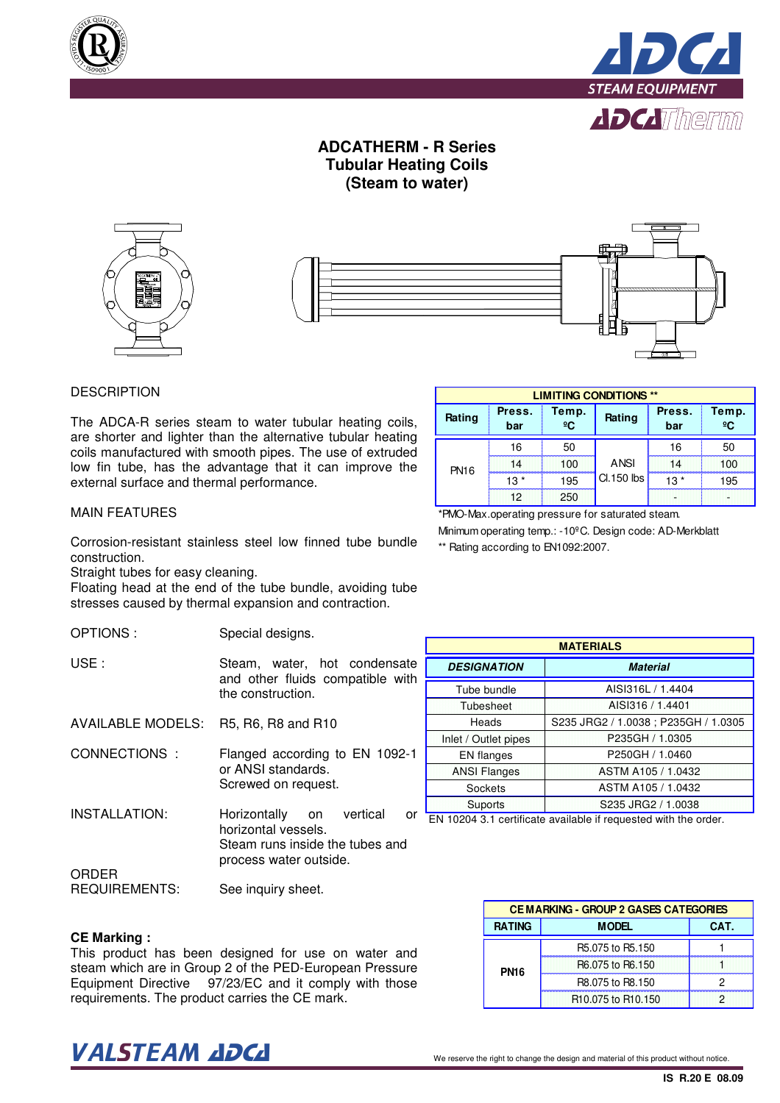



## **ADCATHERM - R Series Tubular Heating Coils (Steam to water)**



### **DESCRIPTION**

The ADCA-R series steam to water tubular heating coils, are shorter and lighter than the alternative tubular heating coils manufactured with smooth pipes. The use of extruded low fin tube, has the advantage that it can improve the external surface and thermal performance.

| <b>LIMITING CONDITIONS **</b> |               |                       |             |               |             |  |  |
|-------------------------------|---------------|-----------------------|-------------|---------------|-------------|--|--|
| Rating                        | Press.<br>bar | Temp.<br>$^{\circ}$ C | Rating      | Press.<br>bar | Temp.<br>ºC |  |  |
| <b>PN16</b>                   | 16            | 50                    |             | 16            | 50          |  |  |
|                               | 14            | 100                   | <b>ANSI</b> | 14            | 100         |  |  |
|                               | $13*$         | 195                   | Cl.150 lbs  | 13 *          | 195         |  |  |
|                               | 12            | 250                   |             |               |             |  |  |

\*PMO-Max.operating pressure for saturated steam. Minimum operating temp.: -10ºC. Design code: AD-Merkblatt

\*\* Rating according to EN1092:2007.

## MAIN FEATURES

Corrosion-resistant stainless steel low finned tube bundle construction.

Straight tubes for easy cleaning.

Floating head at the end of the tube bundle, avoiding tube stresses caused by thermal expansion and contraction.

OPTIONS : Special designs.

| USE : | Steam, water, hot condensate     |  |  |
|-------|----------------------------------|--|--|
|       | and other fluids compatible with |  |  |
|       | the construction.                |  |  |

AVAILABLE MODELS: R5, R6, R8 and R10

CONNECTIONS : Flanged according to EN 1092-1 or ANSI standards. Screwed on request.

INSTALLATION: ORDER Horizontally on vertical or horizontal vessels. Steam runs inside the tubes and process water outside.

REQUIREMENTS: See inquiry sheet.

#### **CE Marking :**

This product has been designed for use on water and steam which are in Group 2 of the PED-European Pressure Equipment Directive 97/23/EC and it comply with those requirements. The product carries the CE mark.

| <b>MATERIALS</b>                      |                                      |  |  |  |
|---------------------------------------|--------------------------------------|--|--|--|
| <b>DESIGNATION</b><br><b>Material</b> |                                      |  |  |  |
| Tube bundle                           | AISI316L / 1.4404                    |  |  |  |
| Tubesheet                             | AISI316 / 1.4401                     |  |  |  |
| Heads                                 | S235 JRG2 / 1.0038 ; P235GH / 1.0305 |  |  |  |
| Inlet / Outlet pipes                  | P235GH / 1.0305                      |  |  |  |
| EN flanges                            | P250GH / 1.0460                      |  |  |  |
| <b>ANSI Flanges</b>                   | ASTM A105 / 1.0432                   |  |  |  |
| Sockets                               | ASTM A105 / 1.0432                   |  |  |  |
| Suports                               | S235 JRG2 / 1.0038                   |  |  |  |

EN 10204 3.1 certificate available if requested with the order.

| <b>CEMARKING - GROUP 2 GASES CATEGORIES</b> |                                            |  |  |  |
|---------------------------------------------|--------------------------------------------|--|--|--|
| <b>RATING</b><br><b>MODEL</b><br>CAT.       |                                            |  |  |  |
| <b>PN16</b>                                 | R5.075 to R5.150                           |  |  |  |
|                                             | R6.075 to R6.150                           |  |  |  |
|                                             | R8.075 to R8.150                           |  |  |  |
|                                             | R <sub>10.075</sub> to R <sub>10.150</sub> |  |  |  |

# $\bm{VALSTEAM}$  and  $\bm{DCL}$  we reserve the right to change the design and material of this product without notice.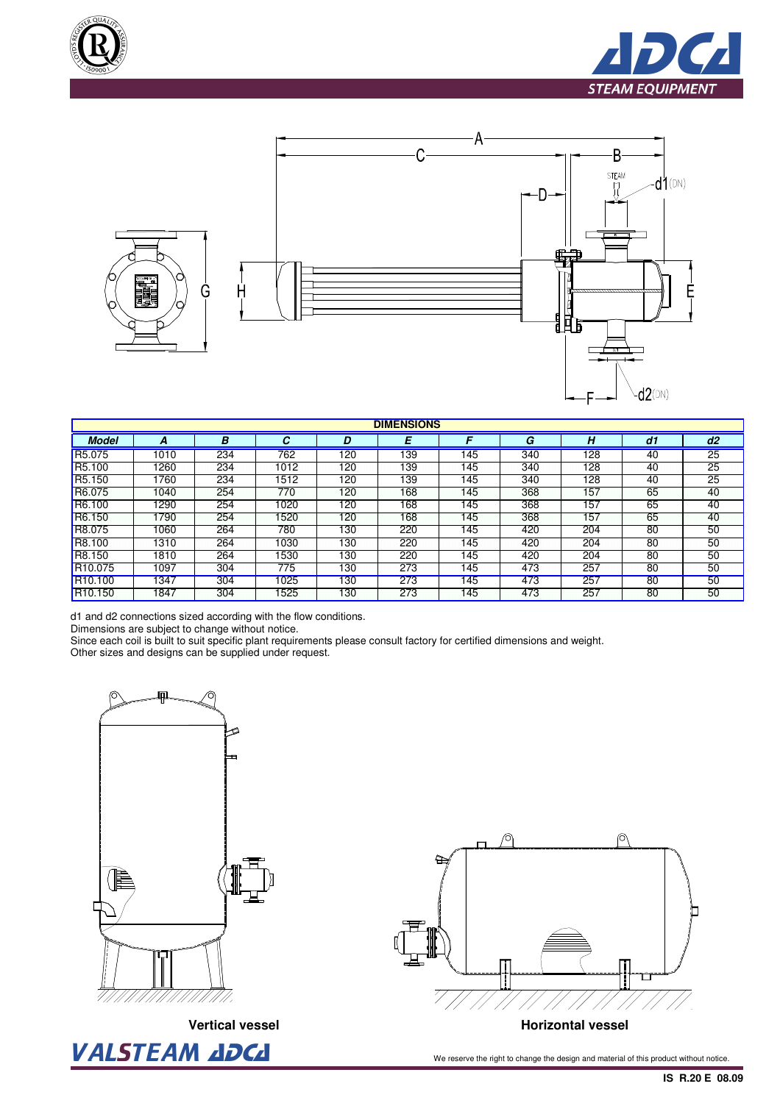





| <b>DIMENSIONS</b>   |      |     |      |     |     |     |     |     |    |    |
|---------------------|------|-----|------|-----|-----|-----|-----|-----|----|----|
| <b>Model</b>        |      | В   | С    | D   | E   |     | G   | н   | d1 | d2 |
| R <sub>5</sub> .075 | 1010 | 234 | 762  | 120 | 139 | 145 | 340 | 128 | 40 | 25 |
| R <sub>5.100</sub>  | 1260 | 234 | 1012 | 120 | 139 | 145 | 340 | 128 | 40 | 25 |
| R <sub>5.150</sub>  | 1760 | 234 | 1512 | 120 | 139 | 145 | 340 | 128 | 40 | 25 |
| R6.075              | 1040 | 254 | 770  | 120 | 168 | 145 | 368 | 157 | 65 | 40 |
| R6.100              | 1290 | 254 | 1020 | 120 | 168 | 145 | 368 | 157 | 65 | 40 |
| R6.150              | 1790 | 254 | 1520 | 120 | 168 | 145 | 368 | 157 | 65 | 40 |
| R8.075              | 1060 | 264 | 780  | 130 | 220 | 145 | 420 | 204 | 80 | 50 |
| R8.100              | 1310 | 264 | 1030 | 130 | 220 | 145 | 420 | 204 | 80 | 50 |
| R8.150              | 1810 | 264 | 1530 | 130 | 220 | 145 | 420 | 204 | 80 | 50 |
| R <sub>10.075</sub> | 1097 | 304 | 775  | 130 | 273 | 145 | 473 | 257 | 80 | 50 |
| R <sub>10.100</sub> | 1347 | 304 | 1025 | 130 | 273 | 145 | 473 | 257 | 80 | 50 |
| R <sub>10.150</sub> | 1847 | 304 | 1525 | 130 | 273 | 145 | 473 | 257 | 80 | 50 |

d1 and d2 connections sized according with the flow conditions.

Dimensions are subject to change without notice.

Since each coil is built to suit specific plant requirements please consult factory for certified dimensions and weight.

Other sizes and designs can be supplied under request.





VALSTEAM ADCA We reserve the right to change the design and material of this product without notice.